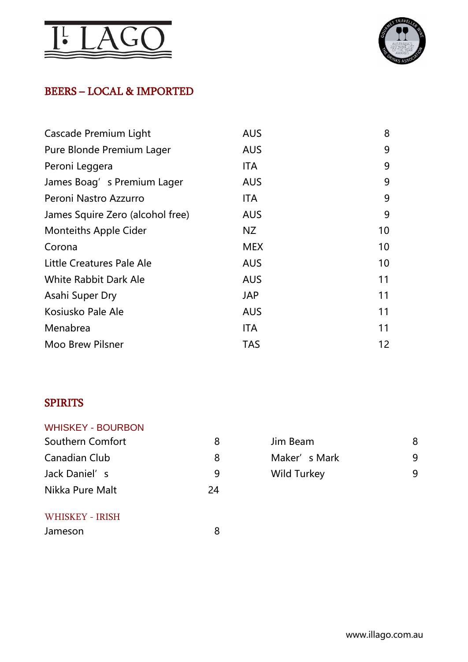



## BEERS – LOCAL & IMPORTED

| Cascade Premium Light            | <b>AUS</b> | 8  |
|----------------------------------|------------|----|
| Pure Blonde Premium Lager        | <b>AUS</b> | 9  |
| Peroni Leggera                   | ITA        | 9  |
| James Boag's Premium Lager       | <b>AUS</b> | 9  |
| Peroni Nastro Azzurro            | <b>ITA</b> | 9  |
| James Squire Zero (alcohol free) | <b>AUS</b> | 9  |
| <b>Monteiths Apple Cider</b>     | NZ         | 10 |
| Corona                           | <b>MEX</b> | 10 |
| Little Creatures Pale Ale        | <b>AUS</b> | 10 |
| <b>White Rabbit Dark Ale</b>     | <b>AUS</b> | 11 |
| Asahi Super Dry                  | <b>JAP</b> | 11 |
| Kosiusko Pale Ale                | <b>AUS</b> | 11 |
| Menabrea                         | <b>ITA</b> | 11 |
| <b>Moo Brew Pilsner</b>          | <b>TAS</b> | 12 |

### SPIRITS

| <b>WHISKEY - BOURBON</b> |    |                    |   |
|--------------------------|----|--------------------|---|
| Southern Comfort         | 8  | Jim Beam           | 8 |
| Canadian Club            | 8  | Maker's Mark       | 9 |
| Jack Daniel's            | 9  | <b>Wild Turkey</b> | 9 |
| Nikka Pure Malt          | 24 |                    |   |
| WHISKEY - IRISH          |    |                    |   |

| Jih beam           |   |
|--------------------|---|
| Maker's Mark       | q |
| <b>Wild Turkey</b> | q |
|                    |   |

| Jameson |  |
|---------|--|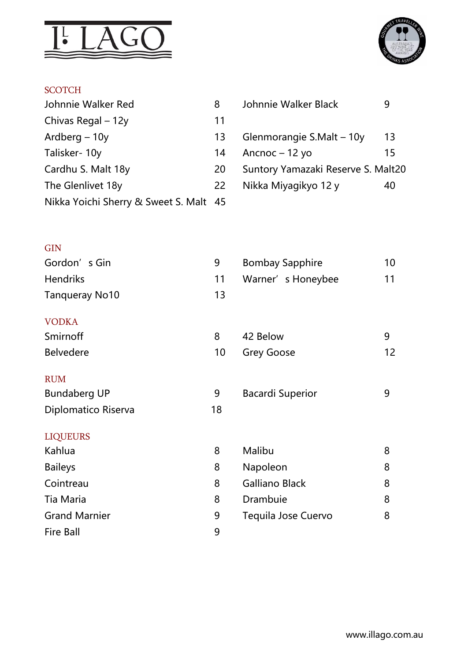



### **SCOTCH**

| Johnnie Walker Red                     |    | Johnnie Walker Black               | 9  |
|----------------------------------------|----|------------------------------------|----|
| Chivas Regal $-12y$                    | 11 |                                    |    |
| Ardberg $-10y$                         | 13 | Glenmorangie S.Malt - 10y          | 13 |
| Talisker-10y                           | 14 | Ancnoc $-12$ yo                    | 15 |
| Cardhu S. Malt 18y                     | 20 | Suntory Yamazaki Reserve S. Malt20 |    |
| The Glenlivet 18y                      | 22 | Nikka Miyagikyo 12 y               | 40 |
| Nikka Yoichi Sherry & Sweet S. Malt 45 |    |                                    |    |

| Johnnie Walker Black               |    |
|------------------------------------|----|
| Glenmorangie S.Malt - 10y          | 13 |
| Ancnoc $-12$ yo                    | 15 |
| Suntory Yamazaki Reserve S. Malt20 |    |
| Nikka Miyagikyo 12 y               |    |
|                                    |    |

# $GIN$

| Gordon's Gin          | 9  | <b>Bombay Sapphire</b>  | 10 |
|-----------------------|----|-------------------------|----|
| <b>Hendriks</b>       | 11 | Warner's Honeybee       | 11 |
| <b>Tanqueray No10</b> | 13 |                         |    |
| <b>VODKA</b>          |    |                         |    |
| Smirnoff              | 8  | 42 Below                | 9  |
| <b>Belvedere</b>      | 10 | <b>Grey Goose</b>       | 12 |
| <b>RUM</b>            |    |                         |    |
| <b>Bundaberg UP</b>   | 9  | <b>Bacardi Superior</b> | 9  |
| Diplomatico Riserva   | 18 |                         |    |
| <b>LIQUEURS</b>       |    |                         |    |
| Kahlua                | 8  | Malibu                  | 8  |

| <b>Natilua</b>       |   | <u>ivialiuu</u>     | $\Omega$ |
|----------------------|---|---------------------|----------|
| <b>Baileys</b>       | 8 | Napoleon            | 8        |
| Cointreau            | 8 | Galliano Black      | 8        |
| Tia Maria            | 8 | Drambuie            | 8        |
| <b>Grand Marnier</b> | 9 | Tequila Jose Cuervo | 8        |
| <b>Fire Ball</b>     | q |                     |          |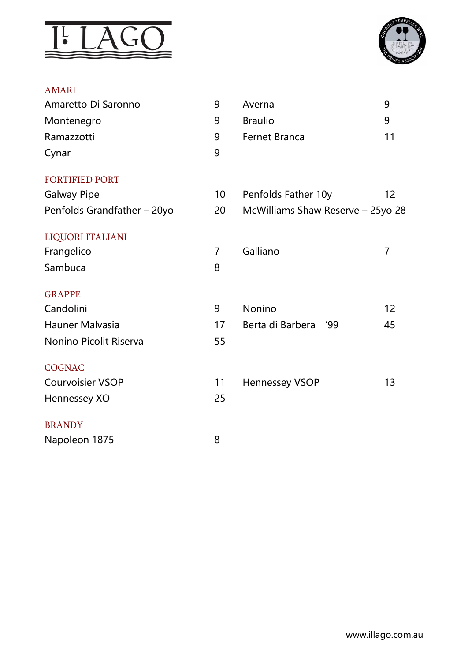



#### AMARI

| 9  | Averna                            | 9              |
|----|-----------------------------------|----------------|
| 9  | <b>Braulio</b>                    | 9              |
| 9  | <b>Fernet Branca</b>              | 11             |
| 9  |                                   |                |
|    |                                   |                |
| 10 | Penfolds Father 10y               | 12             |
| 20 | McWilliams Shaw Reserve - 25yo 28 |                |
|    |                                   |                |
| 7  | Galliano                          | $\overline{7}$ |
| 8  |                                   |                |
|    |                                   |                |
| 9  | Nonino                            | 12             |
| 17 | Berta di Barbera<br>'99           | 45             |
| 55 |                                   |                |
|    |                                   |                |
| 11 | <b>Hennessey VSOP</b>             | 13             |
| 25 |                                   |                |
|    |                                   |                |
| 8  |                                   |                |
|    |                                   |                |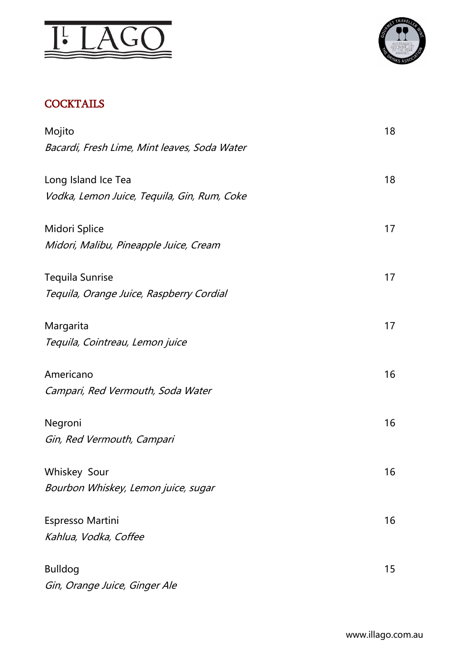



## **COCKTAILS**

| Mojito                                       | 18 |
|----------------------------------------------|----|
| Bacardi, Fresh Lime, Mint leaves, Soda Water |    |
| Long Island Ice Tea                          | 18 |
| Vodka, Lemon Juice, Tequila, Gin, Rum, Coke  |    |
| Midori Splice                                | 17 |
| Midori, Malibu, Pineapple Juice, Cream       |    |
| <b>Tequila Sunrise</b>                       | 17 |
| Tequila, Orange Juice, Raspberry Cordial     |    |
| Margarita                                    | 17 |
| Tequila, Cointreau, Lemon juice              |    |
| Americano                                    | 16 |
| Campari, Red Vermouth, Soda Water            |    |
| Negroni                                      | 16 |
| Gin, Red Vermouth, Campari                   |    |
| Whiskey Sour                                 | 16 |
| Bourbon Whiskey, Lemon juice, sugar          |    |
| Espresso Martini                             | 16 |
| Kahlua, Vodka, Coffee                        |    |
| <b>Bulldog</b>                               | 15 |
| Gin, Orange Juice, Ginger Ale                |    |